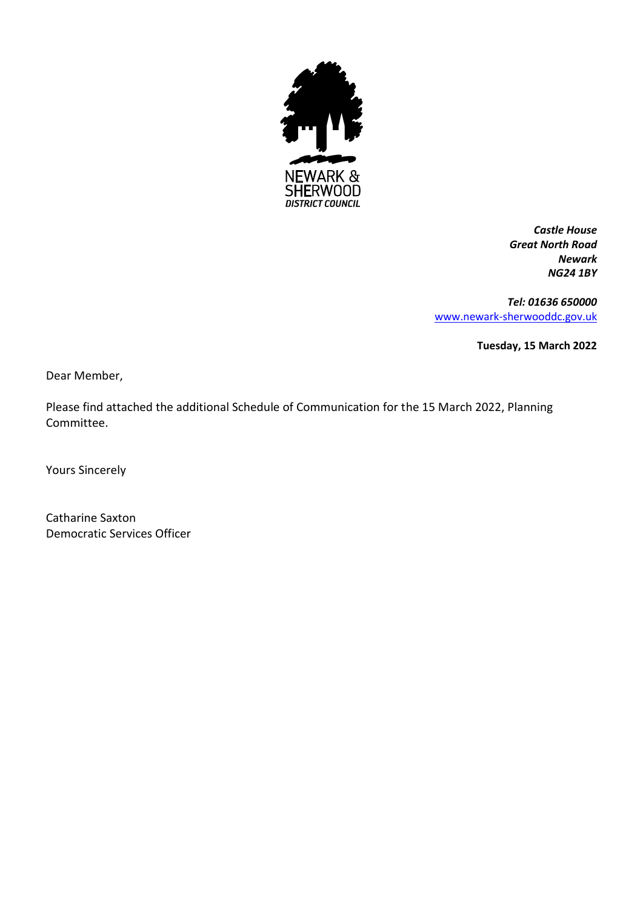

*Castle House Great North Road Newark NG24 1BY*

*Tel: 01636 650000* [www.newark-sherwooddc.gov.uk](http://www.newark-sherwooddc.gov.uk/)

**Tuesday, 15 March 2022**

Dear Member,

Please find attached the additional Schedule of Communication for the 15 March 2022, Planning Committee.

Yours Sincerely

Catharine Saxton Democratic Services Officer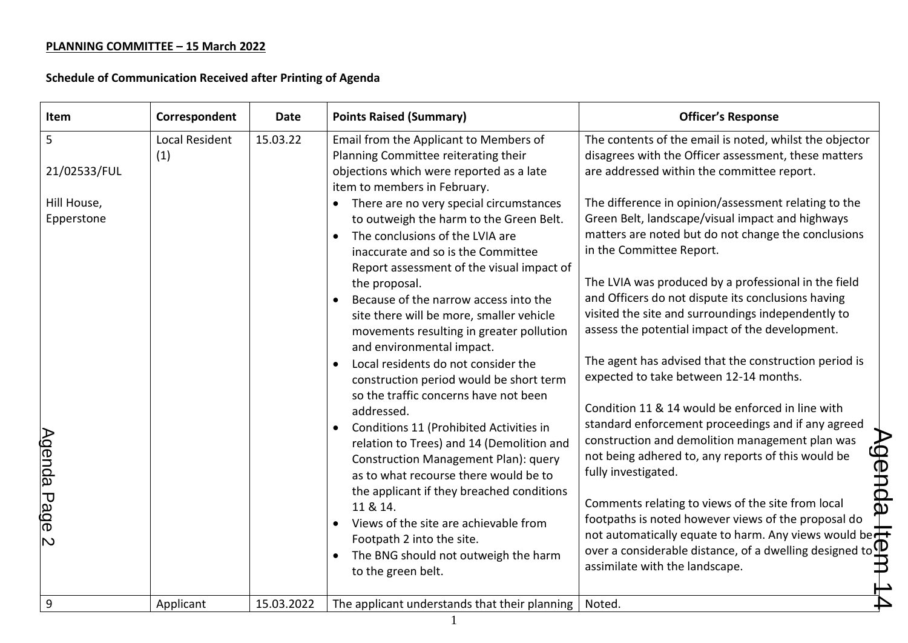| Item                                            | Correspondent         | <b>Date</b> | <b>Points Raised (Summary)</b>                                                                                                                                                                                                                                                                                                                                                                                                                                                                                                                                                                                                                                                                                                                                                                      | <b>Officer's Response</b>                                                                                                                                                                                                                                                                                                                                                                                                                                                                                                                                                                                                                                                                                                                                                       |
|-------------------------------------------------|-----------------------|-------------|-----------------------------------------------------------------------------------------------------------------------------------------------------------------------------------------------------------------------------------------------------------------------------------------------------------------------------------------------------------------------------------------------------------------------------------------------------------------------------------------------------------------------------------------------------------------------------------------------------------------------------------------------------------------------------------------------------------------------------------------------------------------------------------------------------|---------------------------------------------------------------------------------------------------------------------------------------------------------------------------------------------------------------------------------------------------------------------------------------------------------------------------------------------------------------------------------------------------------------------------------------------------------------------------------------------------------------------------------------------------------------------------------------------------------------------------------------------------------------------------------------------------------------------------------------------------------------------------------|
| 5<br>21/02533/FUL                               | Local Resident<br>(1) | 15.03.22    | Email from the Applicant to Members of<br>Planning Committee reiterating their<br>objections which were reported as a late                                                                                                                                                                                                                                                                                                                                                                                                                                                                                                                                                                                                                                                                          | The contents of the email is noted, whilst the objector<br>disagrees with the Officer assessment, these matters<br>are addressed within the committee report.                                                                                                                                                                                                                                                                                                                                                                                                                                                                                                                                                                                                                   |
| Hill House,<br>Epperstone<br><u>Agenda Page</u> |                       |             | item to members in February.<br>There are no very special circumstances<br>to outweigh the harm to the Green Belt.<br>The conclusions of the LVIA are<br>inaccurate and so is the Committee<br>Report assessment of the visual impact of<br>the proposal.<br>Because of the narrow access into the<br>site there will be more, smaller vehicle<br>movements resulting in greater pollution<br>and environmental impact.<br>Local residents do not consider the<br>$\bullet$<br>construction period would be short term<br>so the traffic concerns have not been<br>addressed.<br>Conditions 11 (Prohibited Activities in<br>relation to Trees) and 14 (Demolition and<br>Construction Management Plan): query<br>as to what recourse there would be to<br>the applicant if they breached conditions | The difference in opinion/assessment relating to the<br>Green Belt, landscape/visual impact and highways<br>matters are noted but do not change the conclusions<br>in the Committee Report.<br>The LVIA was produced by a professional in the field<br>and Officers do not dispute its conclusions having<br>visited the site and surroundings independently to<br>assess the potential impact of the development.<br>The agent has advised that the construction period is<br>expected to take between 12-14 months.<br>Condition 11 & 14 would be enforced in line with<br>standard enforcement proceedings and if any agreed<br><b>Agend</b><br>construction and demolition management plan was<br>not being adhered to, any reports of this would be<br>fully investigated. |
| $\mathbf{\mathsf{N}}$                           |                       |             | 11 & 14.<br>Views of the site are achievable from<br>Footpath 2 into the site.<br>The BNG should not outweigh the harm<br>to the green belt.                                                                                                                                                                                                                                                                                                                                                                                                                                                                                                                                                                                                                                                        | Comments relating to views of the site from local<br>ወ<br>footpaths is noted however views of the proposal do<br>not automatically equate to harm. Any views would be $\pm$<br>over a considerable distance, of a dwelling designed to $\mathbb B$<br>assimilate with the landscape.<br>assimilate with the landscape.                                                                                                                                                                                                                                                                                                                                                                                                                                                          |
| 9                                               | Applicant             | 15.03.2022  | The applicant understands that their planning                                                                                                                                                                                                                                                                                                                                                                                                                                                                                                                                                                                                                                                                                                                                                       | Noted.                                                                                                                                                                                                                                                                                                                                                                                                                                                                                                                                                                                                                                                                                                                                                                          |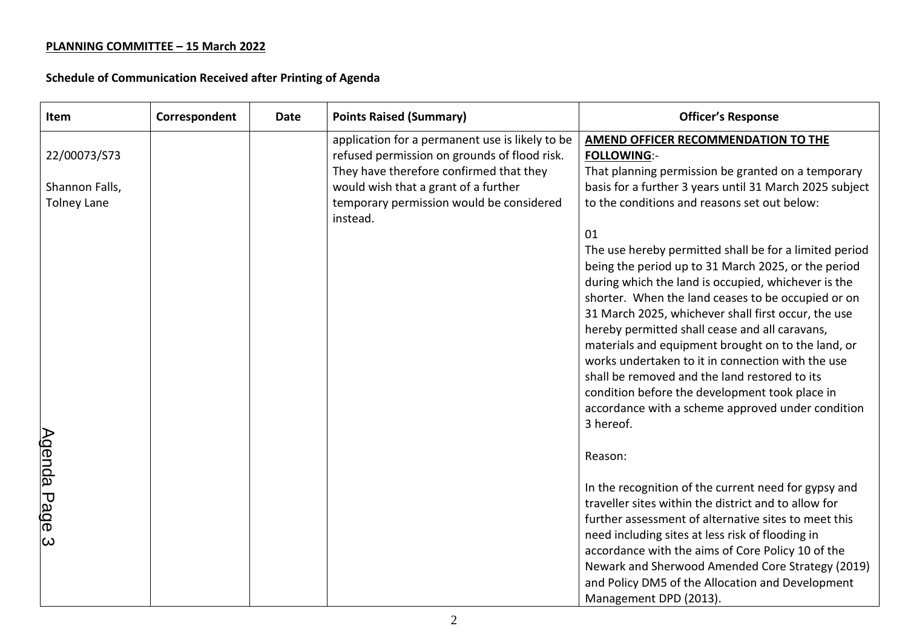| Item                                 | Correspondent | <b>Date</b> | <b>Points Raised (Summary)</b>                                                                                              | <b>Officer's Response</b>                                                                                                                                                                                                  |
|--------------------------------------|---------------|-------------|-----------------------------------------------------------------------------------------------------------------------------|----------------------------------------------------------------------------------------------------------------------------------------------------------------------------------------------------------------------------|
| 22/00073/S73                         |               |             | application for a permanent use is likely to be<br>refused permission on grounds of flood risk.                             | <b>AMEND OFFICER RECOMMENDATION TO THE</b><br><b>FOLLOWING:-</b>                                                                                                                                                           |
| Shannon Falls,<br><b>Tolney Lane</b> |               |             | They have therefore confirmed that they<br>would wish that a grant of a further<br>temporary permission would be considered | That planning permission be granted on a temporary<br>basis for a further 3 years until 31 March 2025 subject<br>to the conditions and reasons set out below:                                                              |
|                                      |               |             | instead.                                                                                                                    | 01                                                                                                                                                                                                                         |
|                                      |               |             |                                                                                                                             | The use hereby permitted shall be for a limited period<br>being the period up to 31 March 2025, or the period<br>during which the land is occupied, whichever is the<br>shorter. When the land ceases to be occupied or on |
|                                      |               |             |                                                                                                                             | 31 March 2025, whichever shall first occur, the use<br>hereby permitted shall cease and all caravans,<br>materials and equipment brought on to the land, or                                                                |
|                                      |               |             |                                                                                                                             | works undertaken to it in connection with the use<br>shall be removed and the land restored to its<br>condition before the development took place in                                                                       |
|                                      |               |             |                                                                                                                             | accordance with a scheme approved under condition<br>3 hereof.                                                                                                                                                             |
|                                      |               |             |                                                                                                                             | Reason:                                                                                                                                                                                                                    |
| <u>Agenda Page</u>                   |               |             |                                                                                                                             | In the recognition of the current need for gypsy and<br>traveller sites within the district and to allow for                                                                                                               |
| $\boldsymbol{\omega}$                |               |             |                                                                                                                             | further assessment of alternative sites to meet this<br>need including sites at less risk of flooding in<br>accordance with the aims of Core Policy 10 of the                                                              |
|                                      |               |             |                                                                                                                             | Newark and Sherwood Amended Core Strategy (2019)<br>and Policy DM5 of the Allocation and Development                                                                                                                       |
|                                      |               |             |                                                                                                                             | Management DPD (2013).                                                                                                                                                                                                     |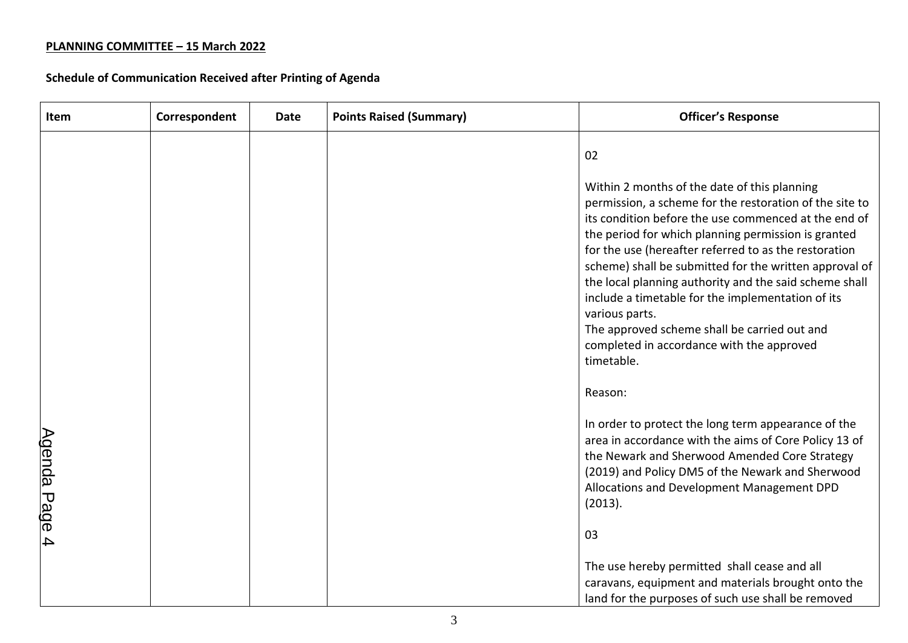| Item                    | Correspondent | Date | <b>Points Raised (Summary)</b> | <b>Officer's Response</b>                                                                                                                                                                                                                                                                                                                                                                                                                                                                                                                                                             |
|-------------------------|---------------|------|--------------------------------|---------------------------------------------------------------------------------------------------------------------------------------------------------------------------------------------------------------------------------------------------------------------------------------------------------------------------------------------------------------------------------------------------------------------------------------------------------------------------------------------------------------------------------------------------------------------------------------|
|                         |               |      |                                | 02                                                                                                                                                                                                                                                                                                                                                                                                                                                                                                                                                                                    |
|                         |               |      |                                | Within 2 months of the date of this planning<br>permission, a scheme for the restoration of the site to<br>its condition before the use commenced at the end of<br>the period for which planning permission is granted<br>for the use (hereafter referred to as the restoration<br>scheme) shall be submitted for the written approval of<br>the local planning authority and the said scheme shall<br>include a timetable for the implementation of its<br>various parts.<br>The approved scheme shall be carried out and<br>completed in accordance with the approved<br>timetable. |
|                         |               |      |                                | Reason:                                                                                                                                                                                                                                                                                                                                                                                                                                                                                                                                                                               |
| <u>Agenda Page</u>      |               |      |                                | In order to protect the long term appearance of the<br>area in accordance with the aims of Core Policy 13 of<br>the Newark and Sherwood Amended Core Strategy<br>(2019) and Policy DM5 of the Newark and Sherwood<br>Allocations and Development Management DPD<br>(2013).                                                                                                                                                                                                                                                                                                            |
| $\overline{\mathbf{4}}$ |               |      |                                | 03                                                                                                                                                                                                                                                                                                                                                                                                                                                                                                                                                                                    |
|                         |               |      |                                | The use hereby permitted shall cease and all<br>caravans, equipment and materials brought onto the<br>land for the purposes of such use shall be removed                                                                                                                                                                                                                                                                                                                                                                                                                              |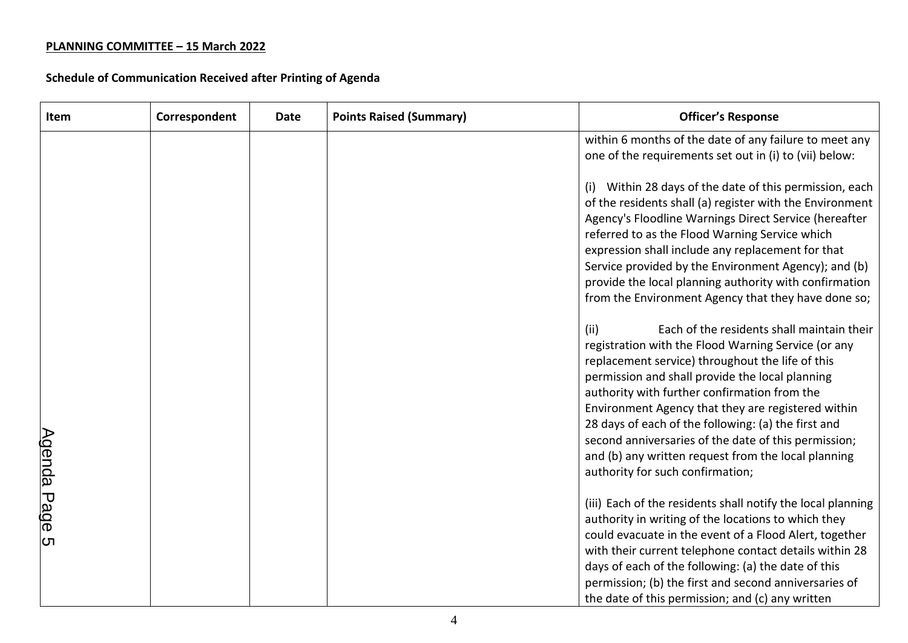| Item        | Correspondent | Date | <b>Points Raised (Summary)</b> | <b>Officer's Response</b>                                                                                                                                                                                                                                                                                                                                                                                                                                                                                                         |
|-------------|---------------|------|--------------------------------|-----------------------------------------------------------------------------------------------------------------------------------------------------------------------------------------------------------------------------------------------------------------------------------------------------------------------------------------------------------------------------------------------------------------------------------------------------------------------------------------------------------------------------------|
|             |               |      |                                | within 6 months of the date of any failure to meet any<br>one of the requirements set out in (i) to (vii) below:                                                                                                                                                                                                                                                                                                                                                                                                                  |
|             |               |      |                                | Within 28 days of the date of this permission, each<br>(i)<br>of the residents shall (a) register with the Environment<br>Agency's Floodline Warnings Direct Service (hereafter<br>referred to as the Flood Warning Service which<br>expression shall include any replacement for that<br>Service provided by the Environment Agency); and (b)<br>provide the local planning authority with confirmation<br>from the Environment Agency that they have done so;                                                                   |
| Agenda Page |               |      |                                | Each of the residents shall maintain their<br>(iii)<br>registration with the Flood Warning Service (or any<br>replacement service) throughout the life of this<br>permission and shall provide the local planning<br>authority with further confirmation from the<br>Environment Agency that they are registered within<br>28 days of each of the following: (a) the first and<br>second anniversaries of the date of this permission;<br>and (b) any written request from the local planning<br>authority for such confirmation; |
| ת           |               |      |                                | (iii) Each of the residents shall notify the local planning<br>authority in writing of the locations to which they<br>could evacuate in the event of a Flood Alert, together<br>with their current telephone contact details within 28<br>days of each of the following: (a) the date of this<br>permission; (b) the first and second anniversaries of<br>the date of this permission; and (c) any written                                                                                                                        |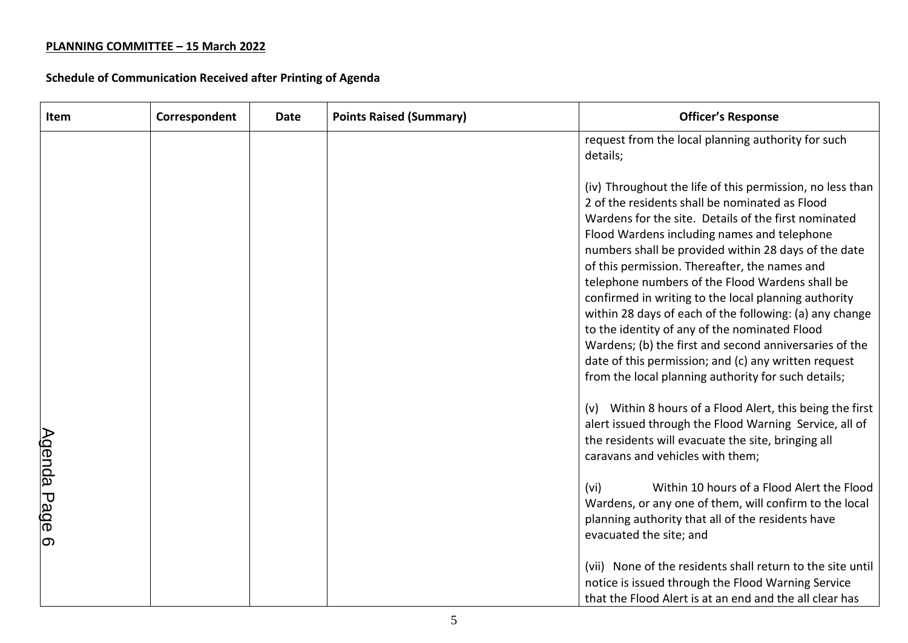| Item              | Correspondent | <b>Date</b> | <b>Points Raised (Summary)</b> | <b>Officer's Response</b>                                                                                                                                                                                                                                                                                                                                                                                                                                                                                                                                                                                                                                                                                                   |
|-------------------|---------------|-------------|--------------------------------|-----------------------------------------------------------------------------------------------------------------------------------------------------------------------------------------------------------------------------------------------------------------------------------------------------------------------------------------------------------------------------------------------------------------------------------------------------------------------------------------------------------------------------------------------------------------------------------------------------------------------------------------------------------------------------------------------------------------------------|
|                   |               |             |                                | request from the local planning authority for such<br>details;                                                                                                                                                                                                                                                                                                                                                                                                                                                                                                                                                                                                                                                              |
|                   |               |             |                                | (iv) Throughout the life of this permission, no less than<br>2 of the residents shall be nominated as Flood<br>Wardens for the site. Details of the first nominated<br>Flood Wardens including names and telephone<br>numbers shall be provided within 28 days of the date<br>of this permission. Thereafter, the names and<br>telephone numbers of the Flood Wardens shall be<br>confirmed in writing to the local planning authority<br>within 28 days of each of the following: (a) any change<br>to the identity of any of the nominated Flood<br>Wardens; (b) the first and second anniversaries of the<br>date of this permission; and (c) any written request<br>from the local planning authority for such details; |
|                   |               |             |                                | (v) Within 8 hours of a Flood Alert, this being the first<br>alert issued through the Flood Warning Service, all of<br>the residents will evacuate the site, bringing all<br>caravans and vehicles with them;                                                                                                                                                                                                                                                                                                                                                                                                                                                                                                               |
| Agenda Page<br>တြ |               |             |                                | Within 10 hours of a Flood Alert the Flood<br>(vi)<br>Wardens, or any one of them, will confirm to the local<br>planning authority that all of the residents have<br>evacuated the site; and                                                                                                                                                                                                                                                                                                                                                                                                                                                                                                                                |
|                   |               |             |                                | (vii) None of the residents shall return to the site until<br>notice is issued through the Flood Warning Service<br>that the Flood Alert is at an end and the all clear has                                                                                                                                                                                                                                                                                                                                                                                                                                                                                                                                                 |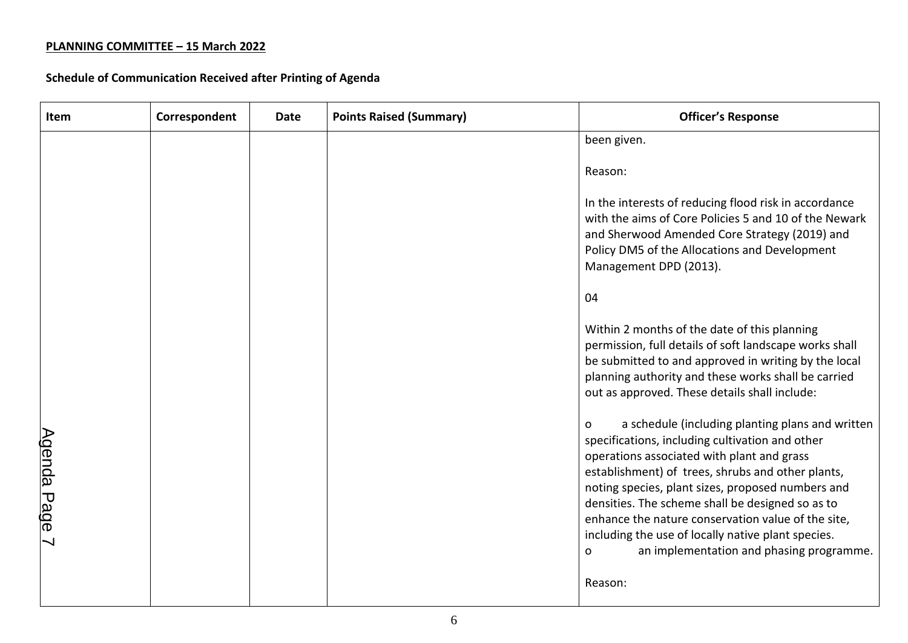| Item                                           | Correspondent | Date | <b>Points Raised (Summary)</b> | <b>Officer's Response</b>                                                                                                                                                                                                                                                                                                                                                                                                                                                                       |
|------------------------------------------------|---------------|------|--------------------------------|-------------------------------------------------------------------------------------------------------------------------------------------------------------------------------------------------------------------------------------------------------------------------------------------------------------------------------------------------------------------------------------------------------------------------------------------------------------------------------------------------|
|                                                |               |      |                                | been given.                                                                                                                                                                                                                                                                                                                                                                                                                                                                                     |
|                                                |               |      |                                | Reason:                                                                                                                                                                                                                                                                                                                                                                                                                                                                                         |
|                                                |               |      |                                | In the interests of reducing flood risk in accordance<br>with the aims of Core Policies 5 and 10 of the Newark<br>and Sherwood Amended Core Strategy (2019) and<br>Policy DM5 of the Allocations and Development<br>Management DPD (2013).                                                                                                                                                                                                                                                      |
|                                                |               |      |                                | 04                                                                                                                                                                                                                                                                                                                                                                                                                                                                                              |
|                                                |               |      |                                | Within 2 months of the date of this planning<br>permission, full details of soft landscape works shall<br>be submitted to and approved in writing by the local<br>planning authority and these works shall be carried<br>out as approved. These details shall include:                                                                                                                                                                                                                          |
| <u>Agenda Page</u><br>$\overline{\phantom{0}}$ |               |      |                                | a schedule (including planting plans and written<br>$\Omega$<br>specifications, including cultivation and other<br>operations associated with plant and grass<br>establishment) of trees, shrubs and other plants,<br>noting species, plant sizes, proposed numbers and<br>densities. The scheme shall be designed so as to<br>enhance the nature conservation value of the site,<br>including the use of locally native plant species.<br>an implementation and phasing programme.<br>$\Omega$ |
|                                                |               |      |                                | Reason:                                                                                                                                                                                                                                                                                                                                                                                                                                                                                         |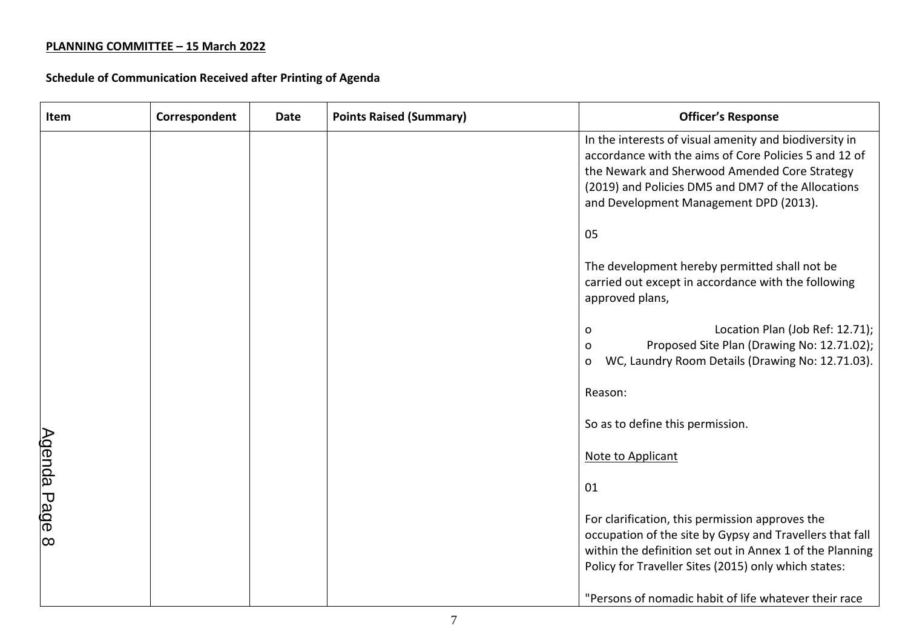| Item               | Correspondent | <b>Date</b> | <b>Points Raised (Summary)</b> | <b>Officer's Response</b>                                                                                                                                                                                                                                        |
|--------------------|---------------|-------------|--------------------------------|------------------------------------------------------------------------------------------------------------------------------------------------------------------------------------------------------------------------------------------------------------------|
|                    |               |             |                                | In the interests of visual amenity and biodiversity in<br>accordance with the aims of Core Policies 5 and 12 of<br>the Newark and Sherwood Amended Core Strategy<br>(2019) and Policies DM5 and DM7 of the Allocations<br>and Development Management DPD (2013). |
|                    |               |             |                                | 05                                                                                                                                                                                                                                                               |
|                    |               |             |                                | The development hereby permitted shall not be<br>carried out except in accordance with the following<br>approved plans,                                                                                                                                          |
|                    |               |             |                                | Location Plan (Job Ref: 12.71);<br>O<br>Proposed Site Plan (Drawing No: 12.71.02);<br>O<br>WC, Laundry Room Details (Drawing No: 12.71.03).<br>$\mathbf 0$                                                                                                       |
| <u>Agenda Page</u> |               |             |                                | Reason:                                                                                                                                                                                                                                                          |
|                    |               |             |                                | So as to define this permission.                                                                                                                                                                                                                                 |
|                    |               |             |                                | Note to Applicant                                                                                                                                                                                                                                                |
|                    |               |             |                                | 01                                                                                                                                                                                                                                                               |
| $\infty$           |               |             |                                | For clarification, this permission approves the<br>occupation of the site by Gypsy and Travellers that fall<br>within the definition set out in Annex 1 of the Planning<br>Policy for Traveller Sites (2015) only which states:                                  |
|                    |               |             |                                | "Persons of nomadic habit of life whatever their race                                                                                                                                                                                                            |